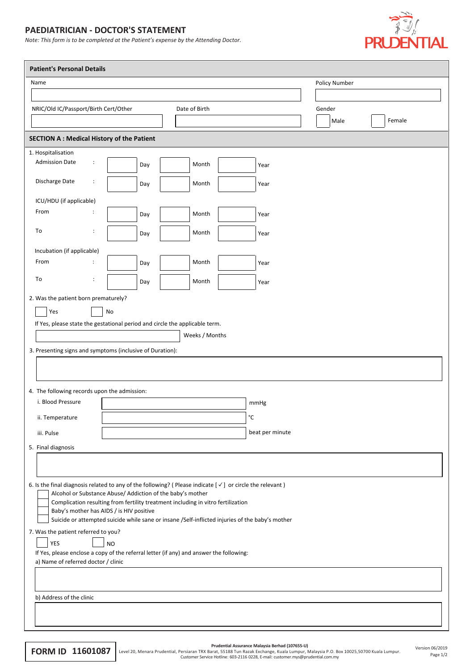## **PAEDIATRICIAN - DOCTOR'S STATEMENT**

*Note: This form is to be completed at the Patient's expense by the Attending Doctor.*



| Name                                                                                                                                                                                                                                                                                                                                                                                                                                                                                                    | <b>Patient's Personal Details</b> |               |                                                                                                 |  |        |               |        |
|---------------------------------------------------------------------------------------------------------------------------------------------------------------------------------------------------------------------------------------------------------------------------------------------------------------------------------------------------------------------------------------------------------------------------------------------------------------------------------------------------------|-----------------------------------|---------------|-------------------------------------------------------------------------------------------------|--|--------|---------------|--------|
|                                                                                                                                                                                                                                                                                                                                                                                                                                                                                                         |                                   |               |                                                                                                 |  |        | Policy Number |        |
|                                                                                                                                                                                                                                                                                                                                                                                                                                                                                                         |                                   |               |                                                                                                 |  |        |               |        |
| NRIC/Old IC/Passport/Birth Cert/Other                                                                                                                                                                                                                                                                                                                                                                                                                                                                   |                                   | Date of Birth |                                                                                                 |  | Gender |               |        |
|                                                                                                                                                                                                                                                                                                                                                                                                                                                                                                         |                                   |               |                                                                                                 |  |        | Male          | Female |
| <b>SECTION A: Medical History of the Patient</b>                                                                                                                                                                                                                                                                                                                                                                                                                                                        |                                   |               |                                                                                                 |  |        |               |        |
| 1. Hospitalisation                                                                                                                                                                                                                                                                                                                                                                                                                                                                                      |                                   |               |                                                                                                 |  |        |               |        |
| <b>Admission Date</b><br>÷                                                                                                                                                                                                                                                                                                                                                                                                                                                                              | Day                               | Month         | Year                                                                                            |  |        |               |        |
| Discharge Date<br>÷                                                                                                                                                                                                                                                                                                                                                                                                                                                                                     | Day                               | Month         | Year                                                                                            |  |        |               |        |
| ICU/HDU (if applicable)                                                                                                                                                                                                                                                                                                                                                                                                                                                                                 |                                   |               |                                                                                                 |  |        |               |        |
| From                                                                                                                                                                                                                                                                                                                                                                                                                                                                                                    | Day                               | Month         | Year                                                                                            |  |        |               |        |
| To<br>:                                                                                                                                                                                                                                                                                                                                                                                                                                                                                                 | Day                               | Month         | Year                                                                                            |  |        |               |        |
| Incubation (if applicable)                                                                                                                                                                                                                                                                                                                                                                                                                                                                              |                                   |               |                                                                                                 |  |        |               |        |
| From<br>:                                                                                                                                                                                                                                                                                                                                                                                                                                                                                               | Day                               | Month         | Year                                                                                            |  |        |               |        |
| To<br>:                                                                                                                                                                                                                                                                                                                                                                                                                                                                                                 | Day                               | Month         | Year                                                                                            |  |        |               |        |
| 4. The following records upon the admission:<br>i. Blood Pressure                                                                                                                                                                                                                                                                                                                                                                                                                                       |                                   |               | mmHg                                                                                            |  |        |               |        |
| ii. Temperature                                                                                                                                                                                                                                                                                                                                                                                                                                                                                         |                                   |               | $^{\circ}{\rm C}$                                                                               |  |        |               |        |
|                                                                                                                                                                                                                                                                                                                                                                                                                                                                                                         |                                   |               |                                                                                                 |  |        |               |        |
| iii. Pulse                                                                                                                                                                                                                                                                                                                                                                                                                                                                                              |                                   |               | beat per minute                                                                                 |  |        |               |        |
| 5. Final diagnosis                                                                                                                                                                                                                                                                                                                                                                                                                                                                                      |                                   |               |                                                                                                 |  |        |               |        |
|                                                                                                                                                                                                                                                                                                                                                                                                                                                                                                         |                                   |               |                                                                                                 |  |        |               |        |
| 6. Is the final diagnosis related to any of the following? (Please indicate $[\checkmark]$ or circle the relevant)<br>Alcohol or Substance Abuse/ Addiction of the baby's mother<br>Complication resulting from fertility treatment including in vitro fertilization<br>Baby's mother has AIDS / is HIV positive<br>7. Was the patient referred to you?<br><b>YES</b><br>If Yes, please enclose a copy of the referral letter (if any) and answer the following:<br>a) Name of referred doctor / clinic | <b>NO</b>                         |               | Suicide or attempted suicide while sane or insane /Self-inflicted injuries of the baby's mother |  |        |               |        |
|                                                                                                                                                                                                                                                                                                                                                                                                                                                                                                         |                                   |               |                                                                                                 |  |        |               |        |
| b) Address of the clinic                                                                                                                                                                                                                                                                                                                                                                                                                                                                                |                                   |               |                                                                                                 |  |        |               |        |

Page 1/2